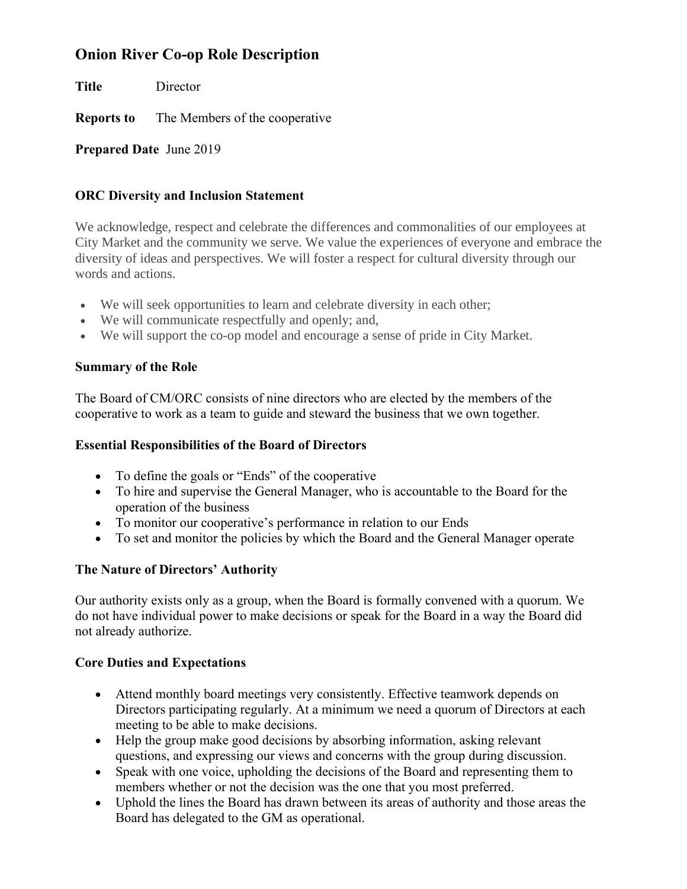# **Onion River Co-op Role Description**

**Title** Director **Reports to** The Members of the cooperative

**Prepared Date** June 2019

## **ORC Diversity and Inclusion Statement**

We acknowledge, respect and celebrate the differences and commonalities of our employees at City Market and the community we serve. We value the experiences of everyone and embrace the diversity of ideas and perspectives. We will foster a respect for cultural diversity through our words and actions.

- We will seek opportunities to learn and celebrate diversity in each other;
- We will communicate respectfully and openly; and,
- We will support the co-op model and encourage a sense of pride in City Market.

#### **Summary of the Role**

The Board of CM/ORC consists of nine directors who are elected by the members of the cooperative to work as a team to guide and steward the business that we own together.

#### **Essential Responsibilities of the Board of Directors**

- To define the goals or "Ends" of the cooperative
- To hire and supervise the General Manager, who is accountable to the Board for the operation of the business
- To monitor our cooperative's performance in relation to our Ends
- To set and monitor the policies by which the Board and the General Manager operate

## **The Nature of Directors' Authority**

Our authority exists only as a group, when the Board is formally convened with a quorum. We do not have individual power to make decisions or speak for the Board in a way the Board did not already authorize.

## **Core Duties and Expectations**

- Attend monthly board meetings very consistently. Effective teamwork depends on Directors participating regularly. At a minimum we need a quorum of Directors at each meeting to be able to make decisions.
- Help the group make good decisions by absorbing information, asking relevant questions, and expressing our views and concerns with the group during discussion.
- Speak with one voice, upholding the decisions of the Board and representing them to members whether or not the decision was the one that you most preferred.
- Uphold the lines the Board has drawn between its areas of authority and those areas the Board has delegated to the GM as operational.